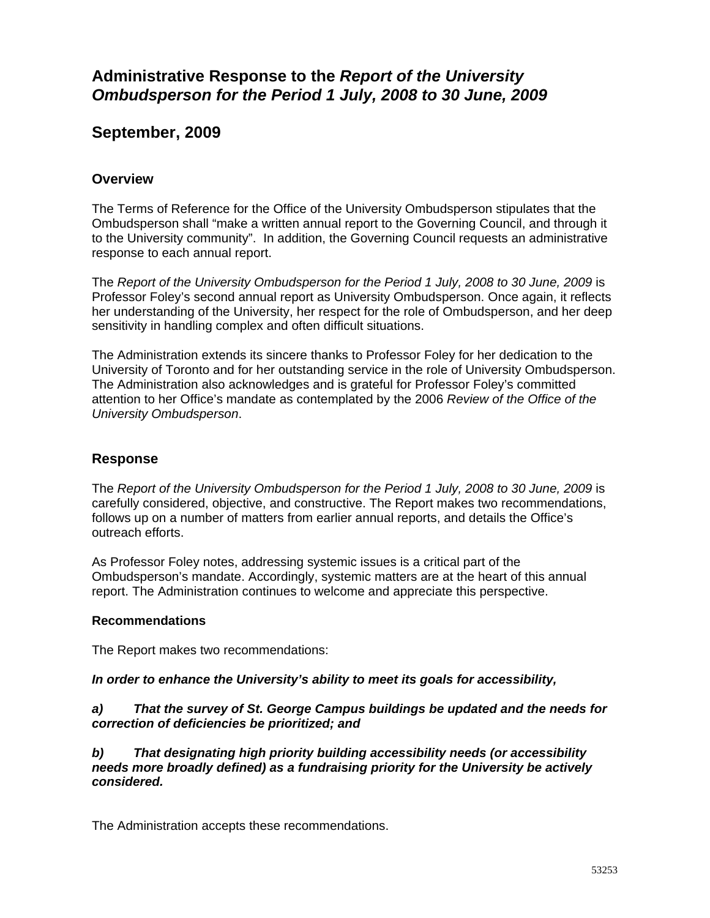# **Administrative Response to the** *Report of the University Ombudsperson for the Period 1 July, 2008 to 30 June, 2009*

# **September, 2009**

## **Overview**

The Terms of Reference for the Office of the University Ombudsperson stipulates that the Ombudsperson shall "make a written annual report to the Governing Council, and through it to the University community". In addition, the Governing Council requests an administrative response to each annual report.

The *Report of the University Ombudsperson for the Period 1 July, 2008 to 30 June, 2009* is Professor Foley's second annual report as University Ombudsperson. Once again, it reflects her understanding of the University, her respect for the role of Ombudsperson, and her deep sensitivity in handling complex and often difficult situations.

The Administration extends its sincere thanks to Professor Foley for her dedication to the University of Toronto and for her outstanding service in the role of University Ombudsperson. The Administration also acknowledges and is grateful for Professor Foley's committed attention to her Office's mandate as contemplated by the 2006 *Review of the Office of the University Ombudsperson*.

### **Response**

The *Report of the University Ombudsperson for the Period 1 July, 2008 to 30 June, 2009* is carefully considered, objective, and constructive. The Report makes two recommendations, follows up on a number of matters from earlier annual reports, and details the Office's outreach efforts.

As Professor Foley notes, addressing systemic issues is a critical part of the Ombudsperson's mandate. Accordingly, systemic matters are at the heart of this annual report. The Administration continues to welcome and appreciate this perspective.

### **Recommendations**

The Report makes two recommendations:

### *In order to enhance the University's ability to meet its goals for accessibility,*

*a) That the survey of St. George Campus buildings be updated and the needs for correction of deficiencies be prioritized; and* 

*b) That designating high priority building accessibility needs (or accessibility needs more broadly defined) as a fundraising priority for the University be actively considered.* 

The Administration accepts these recommendations.